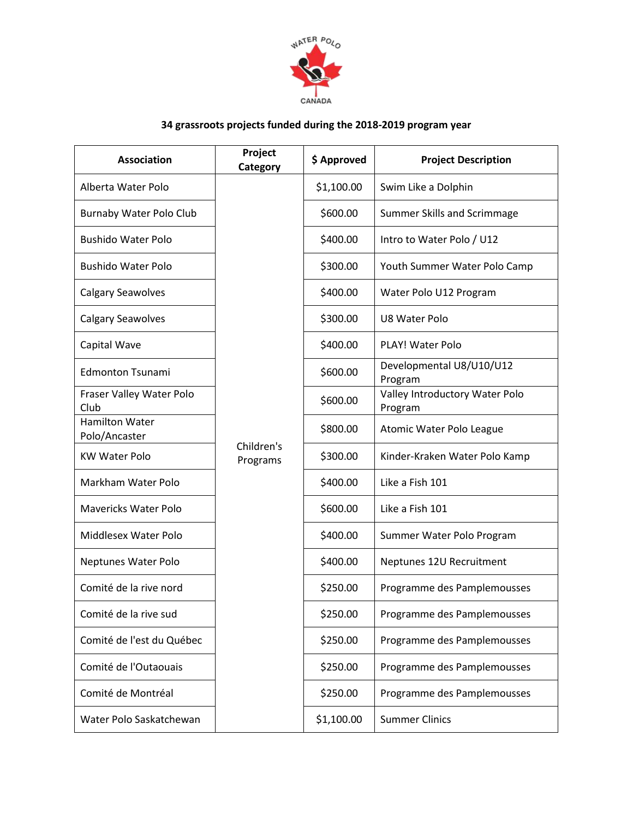

## **34 grassroots projects funded during the 2018-2019 program year**

| <b>Association</b>                     | Project<br>Category    | \$ Approved | <b>Project Description</b>                |  |
|----------------------------------------|------------------------|-------------|-------------------------------------------|--|
| Alberta Water Polo                     |                        | \$1,100.00  | Swim Like a Dolphin                       |  |
| Burnaby Water Polo Club                |                        | \$600.00    | Summer Skills and Scrimmage               |  |
| <b>Bushido Water Polo</b>              |                        | \$400.00    | Intro to Water Polo / U12                 |  |
| <b>Bushido Water Polo</b>              |                        | \$300.00    | Youth Summer Water Polo Camp              |  |
| <b>Calgary Seawolves</b>               |                        | \$400.00    | Water Polo U12 Program                    |  |
| <b>Calgary Seawolves</b>               | Children's<br>Programs | \$300.00    | U8 Water Polo                             |  |
| Capital Wave                           |                        | \$400.00    | PLAY! Water Polo                          |  |
| <b>Edmonton Tsunami</b>                |                        | \$600.00    | Developmental U8/U10/U12<br>Program       |  |
| Fraser Valley Water Polo<br>Club       |                        | \$600.00    | Valley Introductory Water Polo<br>Program |  |
| <b>Hamilton Water</b><br>Polo/Ancaster |                        | \$800.00    | Atomic Water Polo League                  |  |
| <b>KW Water Polo</b>                   |                        | \$300.00    | Kinder-Kraken Water Polo Kamp             |  |
| Markham Water Polo                     |                        | \$400.00    | Like a Fish 101                           |  |
| <b>Mavericks Water Polo</b>            |                        | \$600.00    | Like a Fish 101                           |  |
| Middlesex Water Polo                   |                        | \$400.00    | Summer Water Polo Program                 |  |
| Neptunes Water Polo                    |                        | \$400.00    | Neptunes 12U Recruitment                  |  |
| Comité de la rive nord                 |                        | \$250.00    | Programme des Pamplemousses               |  |
| Comité de la rive sud                  |                        | \$250.00    | Programme des Pamplemousses               |  |
| Comité de l'est du Québec              |                        | \$250.00    | Programme des Pamplemousses               |  |
| Comité de l'Outaouais                  |                        | \$250.00    | Programme des Pamplemousses               |  |
| Comité de Montréal                     |                        | \$250.00    | Programme des Pamplemousses               |  |
| Water Polo Saskatchewan                |                        | \$1,100.00  | <b>Summer Clinics</b>                     |  |